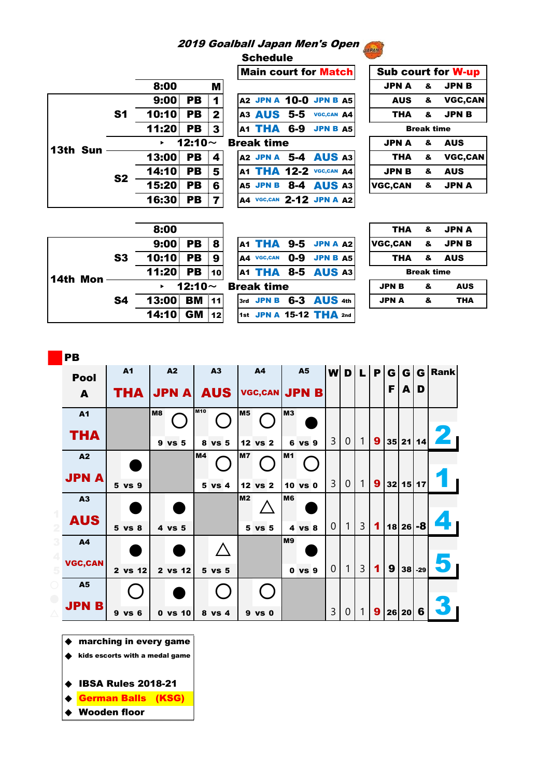## 2019 Goalball Japan Men's Open

Schedule

|          |                |              |              |                | Main court f        |
|----------|----------------|--------------|--------------|----------------|---------------------|
|          |                | 8:00         |              | M              |                     |
|          |                | 9:00         | PB           | 11             | A2 JPN A 10-0       |
|          | S <sub>1</sub> | 10:10 PB 2   |              |                | A3 AUS 5-5          |
|          |                | $11:20$ PB 3 |              |                | A1 THA 6-9          |
|          |                |              | 12:10 $\sim$ |                | <b>Break time</b>   |
| 13th Sun |                | 13:00 PB     |              | $\blacksquare$ | A2 JPN A 5-4        |
|          |                | 14:10 PB     |              | 5              | A1 THA 12-2         |
|          | S <sub>2</sub> | 15:20 PB     |              | 6              | $8 - 4$<br>A5 JPN B |
|          |                | 16:30 PB     |              | $\overline{7}$ | A4 VGC, CAN 2-12    |

|                                       |                | <b>Main court for Matchl</b> | <b>SUD CO</b>  |
|---------------------------------------|----------------|------------------------------|----------------|
| 8:00<br>M                             |                |                              | <b>JPNA</b>    |
| 9:00<br>PB<br><u>  1  </u>            |                | A2 JPN A 10-0 JPN B A5       | <b>AUS</b>     |
| 10:10 PB<br> 2                        |                | A3 AUS 5-5 VGC, CAN A4       | <b>THA</b>     |
| 11:20 PB<br>$\overline{\mathbf{3}}$   |                | $A1$ THA 6-9 JPN B $A5$      | в              |
| 12:10 $\sim$<br>$\blacktriangleright$ |                | <b>Break time</b>            | <b>JPNA</b>    |
| 13:00 PB<br> 4                        |                | <b>A2 JPN A 5-4 AUS A3</b>   | <b>THA</b>     |
| 14:10 PB                              | 5 <sup>1</sup> | A1 THA 12-2 VGC, CAN A4      | <b>JPNB</b>    |
| 15:20<br><b>PB</b><br>6               |                | <b>A5 JPN B 8-4 AUS A3</b>   | <b>VGC,CAN</b> |
| 16:30<br><b>PB</b><br>. 7 I           |                | A4 VGC, CAN 2-12 JPN A A2    |                |

| <b>PERSONAL</b>                |                           |                   |                |  |  |  |  |  |
|--------------------------------|---------------------------|-------------------|----------------|--|--|--|--|--|
| <b>Main court for Match</b>    | <b>Sub court for W-up</b> |                   |                |  |  |  |  |  |
|                                | JPNA &                    |                   | <b>JPN B</b>   |  |  |  |  |  |
| A2 JPN A 10-0 JPN B A5         | AUS &                     |                   | VGC.CAN        |  |  |  |  |  |
| A3 AUS 5-5 VGC, CAN A4         | <b>THA</b>                | $\mathbf{g}$      | <b>JPNB</b>    |  |  |  |  |  |
| <b>A1 THA 6-9 JPN B A5</b>     |                           | <b>Break time</b> |                |  |  |  |  |  |
| eak time                       | JPNA &                    |                   | <b>AUS</b>     |  |  |  |  |  |
| <b>A2 JPN A 5-4 AUS A3</b>     | THA                       | - &               | <b>VGC,CAN</b> |  |  |  |  |  |
| <b>A1 THA 12-2 VGC, CAN A4</b> | <b>JPN B</b>              | ୍ଥ                | <b>AUS</b>     |  |  |  |  |  |
| <b>A5 JPN B 8-4 AUS A3</b>     | VGC,CAN & JPNA            |                   |                |  |  |  |  |  |
|                                |                           |                   |                |  |  |  |  |  |

|          |                | 8:00          |              |     |  |                            |         |                 | THA            | &                 | <b>JPN A</b> |
|----------|----------------|---------------|--------------|-----|--|----------------------------|---------|-----------------|----------------|-------------------|--------------|
|          |                | $9:00$ PB $8$ |              |     |  | <b>A1 THA 9-5 JPN A A2</b> |         |                 | <b>VGC.CAN</b> | &                 | <b>JPNB</b>  |
|          | S <sub>3</sub> | 10:10 PB      |              | - 9 |  | A4 VGC,CAN                 | $0 - 9$ | <b>JPN B A5</b> | THA            | &                 | <b>AUS</b>   |
|          |                | 11:20 PB 10   |              |     |  | <b>A1 THA 8-5 AUS A3</b>   |         |                 |                | <b>Break time</b> |              |
| 14th Mon |                | ×.            | 12:10 $\sim$ |     |  | <b>Break time</b>          |         |                 | <b>JPN B</b>   | &                 | <b>AUS</b>   |
|          | <b>S4</b>      | 13:00 BM 11   |              |     |  | 3rd JPN B 6-3 AUS 4th      |         |                 | <b>JPN A</b>   | &                 | <b>THA</b>   |
|          |                | 14:10 GM 12   |              |     |  | 1st JPN A 15-12 THA 2nd    |         |                 |                |                   |              |
|          |                |               |              |     |  |                            |         |                 |                |                   |              |

| ТНА               | &  | JPN A       |  |  |  |  |  |  |  |
|-------------------|----|-------------|--|--|--|--|--|--|--|
| VGC,CAN           | &  | <b>JPNB</b> |  |  |  |  |  |  |  |
| ТНА               | 8- | <b>AUS</b>  |  |  |  |  |  |  |  |
| <b>Break time</b> |    |             |  |  |  |  |  |  |  |
|                   |    |             |  |  |  |  |  |  |  |
| <b>JPN B</b>      | &  | AUS         |  |  |  |  |  |  |  |

| PB             |   |                |    |              |      |                 |                |                 |                |              |                |                |                |   |   |       |              |             |
|----------------|---|----------------|----|--------------|------|-----------------|----------------|-----------------|----------------|--------------|----------------|----------------|----------------|---|---|-------|--------------|-------------|
| <b>Pool</b>    |   | A <sub>1</sub> |    | A2           |      | A3              |                | <b>A4</b>       |                | <b>A5</b>    | wl             | D              | 4 D            | P | G | G     | $\mathbf{G}$ | <b>Rank</b> |
| A              |   | THA            |    | <b>JPN A</b> |      | <b>AUS</b>      |                | <b>VGC,CAN</b>  |                | <b>JPN B</b> |                |                |                |   | F | A     | D            |             |
| <b>A1</b>      |   |                | M8 |              | lm10 |                 | M <sub>5</sub> |                 | <b>M3</b>      |              |                |                |                |   |   |       |              |             |
| <b>THA</b>     |   |                |    | 9 vs 5       | 8    | vs <sub>5</sub> |                | 12 vs 2         |                | 6 vs 9       | 3              | $\overline{0}$ | 1              | 9 |   | 35 21 | 14           |             |
| A2             |   |                |    |              | M4   |                 | M7             |                 | M <sub>1</sub> |              |                |                |                |   |   |       |              |             |
| <b>JPN A</b>   |   | 5 vs 9         |    |              |      | 5 vs 4          | 12             | vs <sub>2</sub> |                | 10 vs 0      | 3              | $\mathbf{0}$   | 1              | 9 |   | 32 15 | 17           |             |
| A3             |   |                |    |              |      |                 | M <sub>2</sub> |                 | <b>M6</b>      |              |                |                |                |   |   |       |              |             |
| <b>AUS</b>     |   | 5 vs 8         |    | 4 vs 5       |      |                 |                | 5 vs 5          |                | 4 vs 8       | $\Omega$       | 1              | $\overline{3}$ | 1 |   | 18 26 | -8           |             |
| <b>A4</b>      |   |                |    |              |      |                 |                |                 | M <sub>9</sub> |              |                |                |                |   |   |       |              |             |
| <b>VGC,CAN</b> |   | 2 vs 12        |    | 2 vs 12      |      | 5 vs 5          |                |                 |                | $0$ vs $9$   | $\overline{0}$ | 1              | 3              | 1 | 9 | 38    | $-29$        |             |
| <b>A5</b>      |   |                |    |              |      |                 |                |                 |                |              |                |                |                |   |   |       |              |             |
| <b>JPN B</b>   | 9 | vs 6           |    | $0$ vs $10$  |      | 8 vs 4          |                | 9 vs 0          |                |              | 3              | 0              | 1              | 9 |   | 26 20 | 6            |             |

◆ marching in every game

◆ kids escorts with a medal game

- ◆ IBSA Rules 2018-21
- ◆ <mark>German Balls (KSG)</mark>
- ◆ Wooden floor